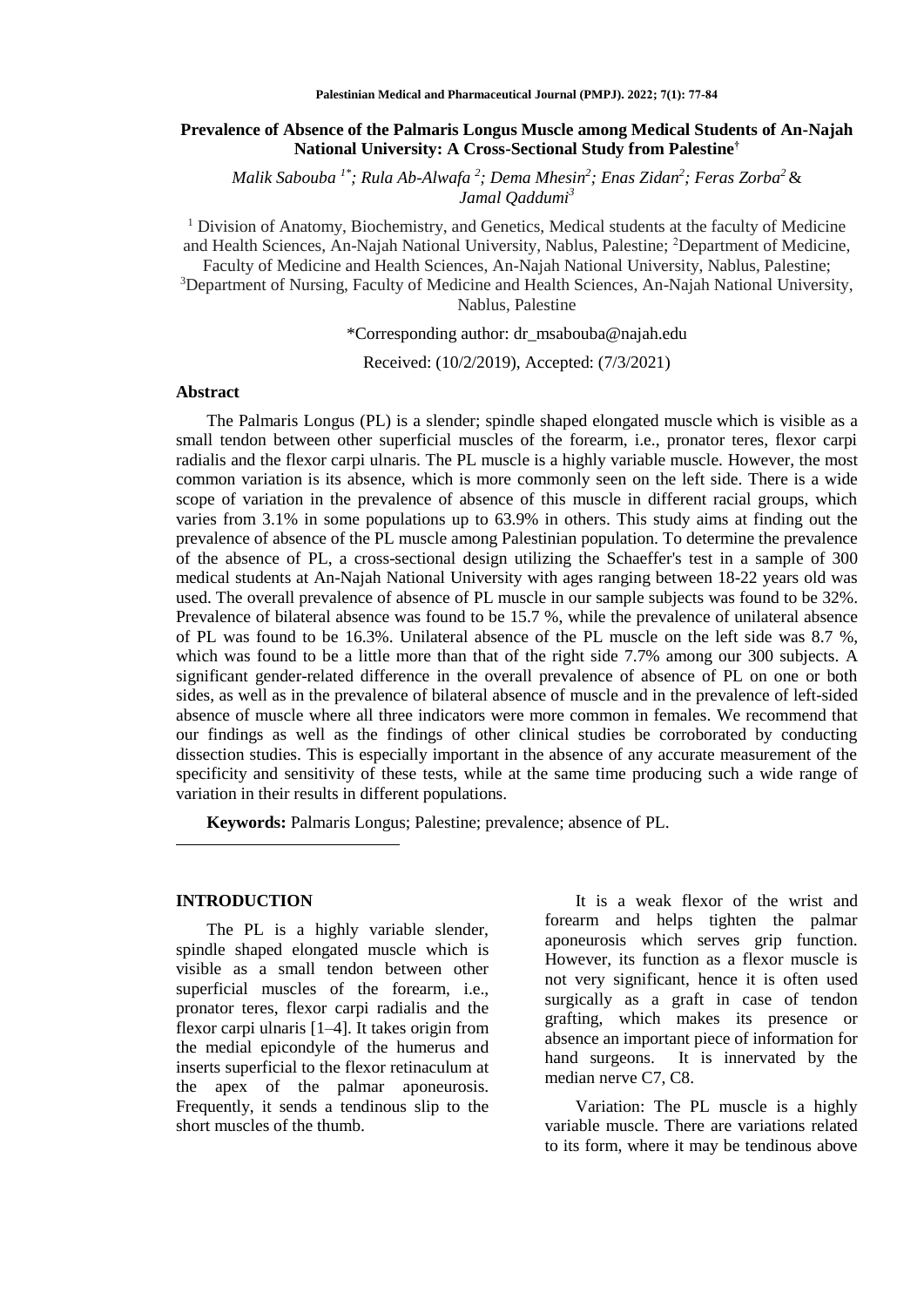## **Prevalence of Absence of the Palmaris Longus Muscle among Medical Students of An-Najah National University: A Cross-Sectional Study from Palestine†**

*Malik Sabouba 1\*; Rula Ab-Alwafa <sup>2</sup> ; Dema Mhesin<sup>2</sup> ; Enas Zidan<sup>2</sup> ; Feras Zorba<sup>2</sup>* & *Jamal Qaddumi<sup>3</sup>*

 $<sup>1</sup>$  Division of Anatomy, Biochemistry, and Genetics, Medical students at the faculty of Medicine</sup> and Health Sciences, An-Najah National University, Nablus, Palestine; <sup>2</sup>Department of Medicine, Faculty of Medicine and Health Sciences, An-Najah National University, Nablus, Palestine; <sup>3</sup>Department of Nursing, Faculty of Medicine and Health Sciences, An-Najah National University, Nablus, Palestine

\*Corresponding author: [dr\\_msabouba@najah.edu](mailto:dr_msabouba@najah.edu)

Received: (10/2/2019), Accepted: (7/3/2021)

### **Abstract**

The Palmaris Longus (PL) is a slender; spindle shaped elongated muscle which is visible as a small tendon between other superficial muscles of the forearm, i.e., pronator teres, flexor carpi radialis and the flexor carpi ulnaris. The PL muscle is a highly variable muscle. However, the most common variation is its absence, which is more commonly seen on the left side. There is a wide scope of variation in the prevalence of absence of this muscle in different racial groups, which varies from 3.1% in some populations up to 63.9% in others. This study aims at finding out the prevalence of absence of the PL muscle among Palestinian population. To determine the prevalence of the absence of PL, a cross-sectional design utilizing the Schaeffer's test in a sample of 300 medical students at An-Najah National University with ages ranging between 18-22 years old was used. The overall prevalence of absence of PL muscle in our sample subjects was found to be 32%. Prevalence of bilateral absence was found to be 15.7 %, while the prevalence of unilateral absence of PL was found to be 16.3%. Unilateral absence of the PL muscle on the left side was 8.7 %, which was found to be a little more than that of the right side 7.7% among our 300 subjects. A significant gender-related difference in the overall prevalence of absence of PL on one or both sides, as well as in the prevalence of bilateral absence of muscle and in the prevalence of left-sided absence of muscle where all three indicators were more common in females. We recommend that our findings as well as the findings of other clinical studies be corroborated by conducting dissection studies. This is especially important in the absence of any accurate measurement of the specificity and sensitivity of these tests, while at the same time producing such a wide range of variation in their results in different populations.

**Keywords:** Palmaris Longus; Palestine; prevalence; absence of PL.

## **INTRODUCTION**

 $\overline{a}$ 

The PL is a highly variable slender, spindle shaped elongated muscle which is visible as a small tendon between other superficial muscles of the forearm, i.e., pronator teres, flexor carpi radialis and the flexor carpi ulnaris [1–4]. It takes origin from the medial epicondyle of the humerus and inserts superficial to the flexor retinaculum at the apex of the palmar aponeurosis. Frequently, it sends a tendinous slip to the short muscles of the thumb.

It is a weak flexor of the wrist and forearm and helps tighten the palmar aponeurosis which serves grip function. However, its function as a flexor muscle is not very significant, hence it is often used surgically as a graft in case of tendon grafting, which makes its presence or absence an important piece of information for hand surgeons. It is innervated by the median nerve C7, C8.

Variation: The PL muscle is a highly variable muscle. There are variations related to its form, where it may be tendinous above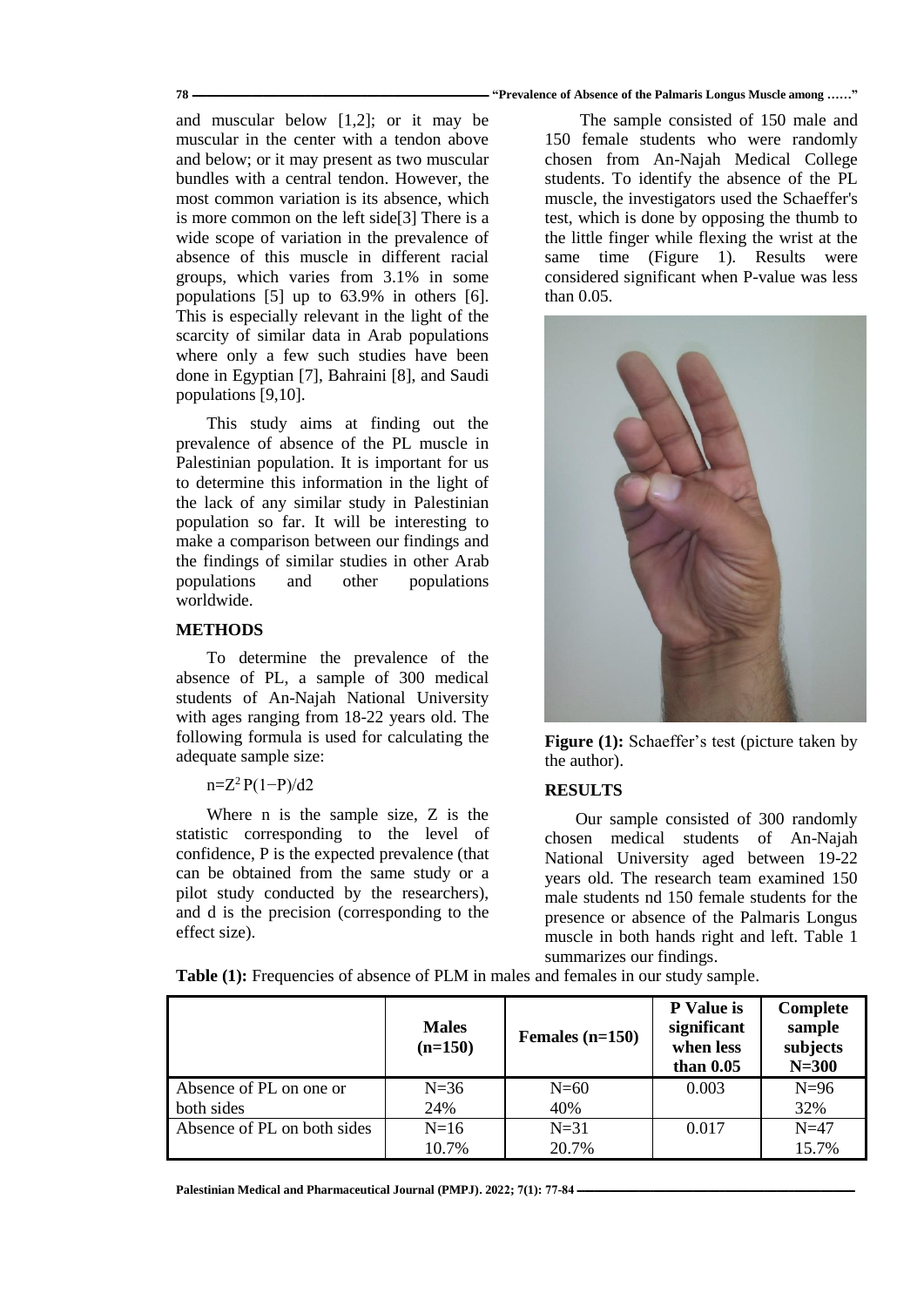#### **78 ـــــــــــــــــــــــــــــــــــــــــــــــــــــــــــــــــــــــــــــــــــــــــــــــــــــــــــــــــــــــــ" Prevalence of Absence of the Palmaris Longus Muscle among ……"**

and muscular below [1,2]; or it may be muscular in the center with a tendon above and below; or it may present as two muscular bundles with a central tendon. However, the most common variation is its absence, which is more common on the left side[3] There is a wide scope of variation in the prevalence of absence of this muscle in different racial groups, which varies from 3.1% in some populations [5] up to 63.9% in others [6]. This is especially relevant in the light of the scarcity of similar data in Arab populations where only a few such studies have been done in Egyptian [7], Bahraini [8], and Saudi populations [9,10].

This study aims at finding out the prevalence of absence of the PL muscle in Palestinian population. It is important for us to determine this information in the light of the lack of any similar study in Palestinian population so far. It will be interesting to make a comparison between our findings and the findings of similar studies in other Arab populations and other populations worldwide.

# **METHODS**

To determine the prevalence of the absence of PL, a sample of 300 medical students of An-Najah National University with ages ranging from 18-22 years old. The following formula is used for calculating the adequate sample size:

### $n=Z^2 P(1-P)/d2$

Where n is the sample size, Z is the statistic corresponding to the level of confidence, P is the expected prevalence (that can be obtained from the same study or a pilot study conducted by the researchers), and d is the precision (corresponding to the effect size).

The sample consisted of 150 male and 150 female students who were randomly chosen from An-Najah Medical College students. To identify the absence of the PL muscle, the investigators used the Schaeffer's test, which is done by opposing the thumb to the little finger while flexing the wrist at the same time (Figure 1). Results were considered significant when P-value was less than 0.05.



**Figure** (1): Schaeffer's test (picture taken by the author).

## **RESULTS**

Our sample consisted of 300 randomly chosen medical students of An-Najah National University aged between 19-22 years old. The research team examined 150 male students nd 150 female students for the presence or absence of the Palmaris Longus muscle in both hands right and left. Table 1 summarizes our findings.

**Table (1):** Frequencies of absence of PLM in males and females in our study sample.

|                             | <b>Males</b><br>$(n=150)$ | Females $(n=150)$ | P Value is<br>significant<br>when less<br>than $0.05$ | Complete<br>sample<br>subjects<br>$N=300$ |
|-----------------------------|---------------------------|-------------------|-------------------------------------------------------|-------------------------------------------|
| Absence of PL on one or     | $N=36$                    | $N=60$            | 0.003                                                 | $N=96$                                    |
| both sides                  | 24%                       | 40%               |                                                       | 32%                                       |
| Absence of PL on both sides | $N=16$                    | $N=31$            | 0.017                                                 | $N=47$                                    |
|                             | 10.7%                     | 20.7%             |                                                       | 15.7%                                     |

[Palestinian Medical and Pharmaceutical Journal \(PMPJ\).](https://journals.najah.edu/journal/pmpj/browse-by-issue/)  $2022$ ;  $7(1)$ :  $77-84$  -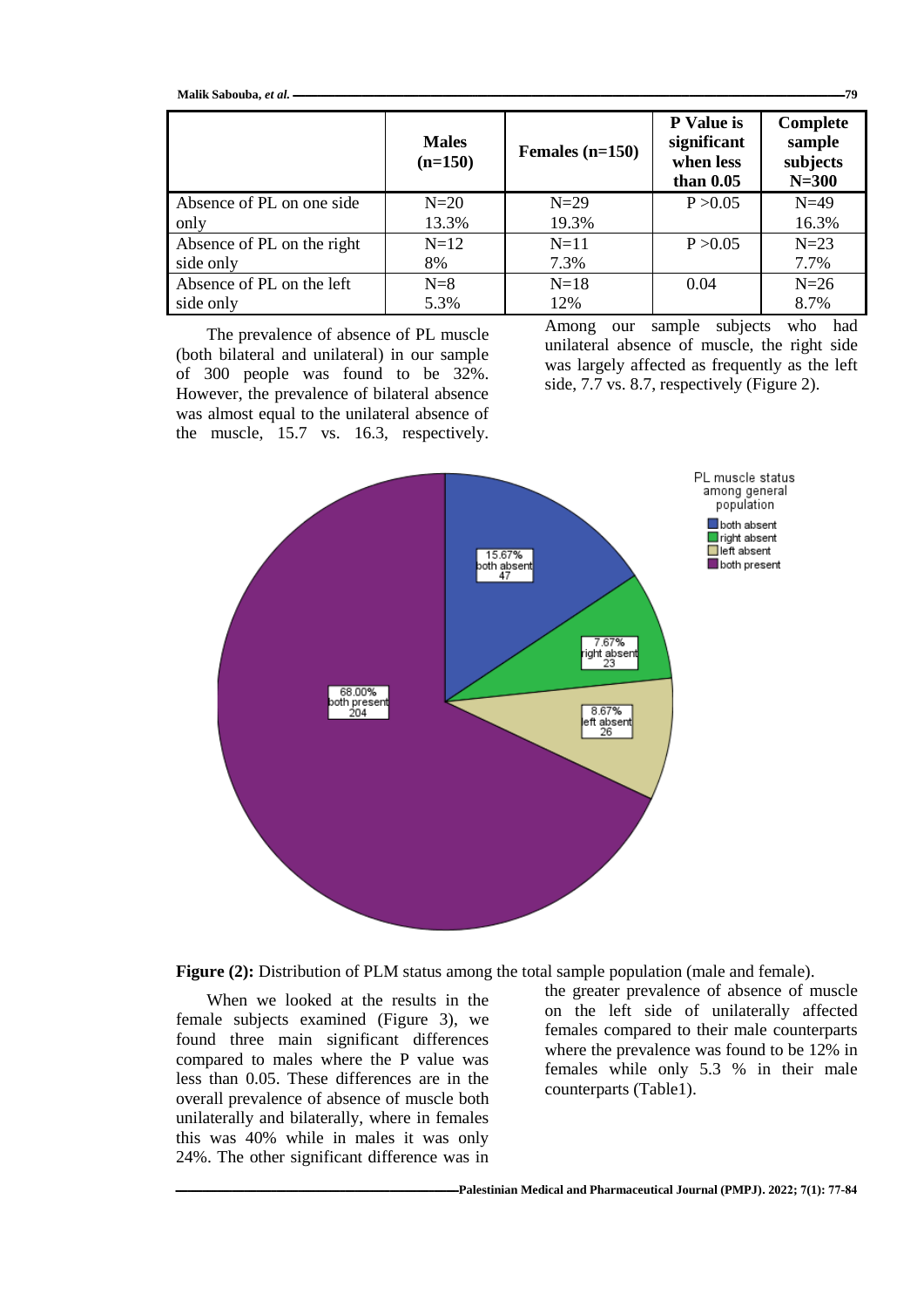| Malik Sabouba, et al. -<br>.79 |                           |                   |                                                       |                                             |  |  |
|--------------------------------|---------------------------|-------------------|-------------------------------------------------------|---------------------------------------------|--|--|
|                                | <b>Males</b><br>$(n=150)$ | Females $(n=150)$ | P Value is<br>significant<br>when less<br>than $0.05$ | Complete<br>sample<br>subjects<br>$N = 300$ |  |  |
| Absence of PL on one side      | $N=20$                    | $N=29$            | P > 0.05                                              | $N=49$                                      |  |  |
| only                           | 13.3%                     | 19.3%             |                                                       | 16.3%                                       |  |  |
| Absence of PL on the right     | $N=12$                    | $N=11$            | P > 0.05                                              | $N=23$                                      |  |  |
| side only                      | 8%                        | 7.3%              |                                                       | 7.7%                                        |  |  |
| Absence of PL on the left      | $N=8$                     | $N=18$            | 0.04                                                  | $N=26$                                      |  |  |
| side only                      | 5.3%                      | 12%               |                                                       | 8.7%                                        |  |  |

The prevalence of absence of PL muscle (both bilateral and unilateral) in our sample of 300 people was found to be 32%. However, the prevalence of bilateral absence was almost equal to the unilateral absence of the muscle, 15.7 vs. 16.3, respectively. Among our sample subjects who had unilateral absence of muscle, the right side was largely affected as frequently as the left side, 7.7 vs. 8.7, respectively (Figure 2).



**Figure (2):** Distribution of PLM status among the total sample population (male and female).

When we looked at the results in the female subjects examined (Figure 3), we found three main significant differences compared to males where the P value was less than 0.05. These differences are in the overall prevalence of absence of muscle both unilaterally and bilaterally, where in females this was 40% while in males it was only 24%. The other significant difference was in the greater prevalence of absence of muscle on the left side of unilaterally affected females compared to their male counterparts where the prevalence was found to be 12% in females while only 5.3 % in their male counterparts (Table1).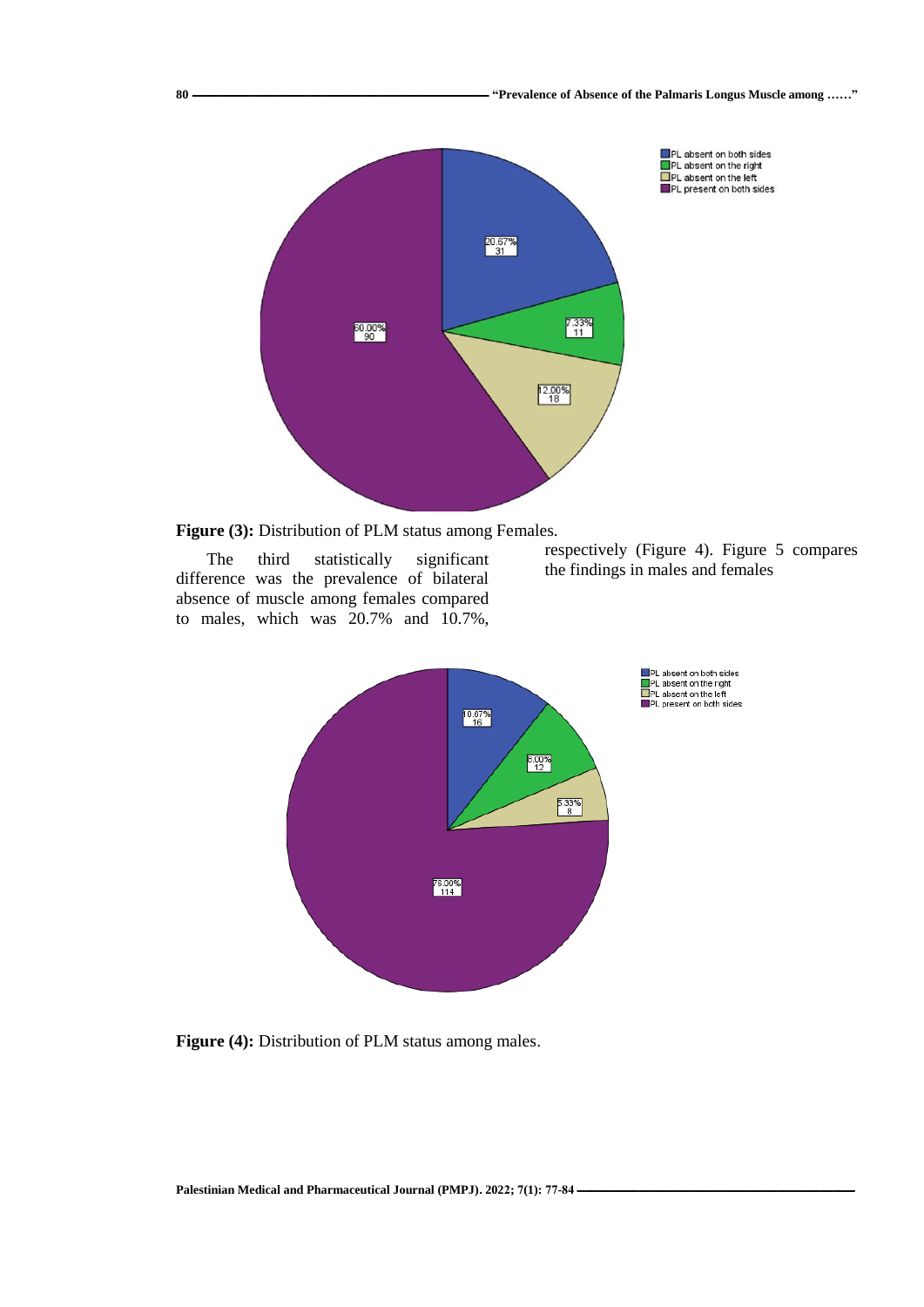



The third statistically significant difference was the prevalence of bilateral absence of muscle among females compared to males, which was 20.7% and 10.7%,

respectively (Figure 4). Figure 5 compares the findings in males and females



**Figure (4):** Distribution of PLM status among males.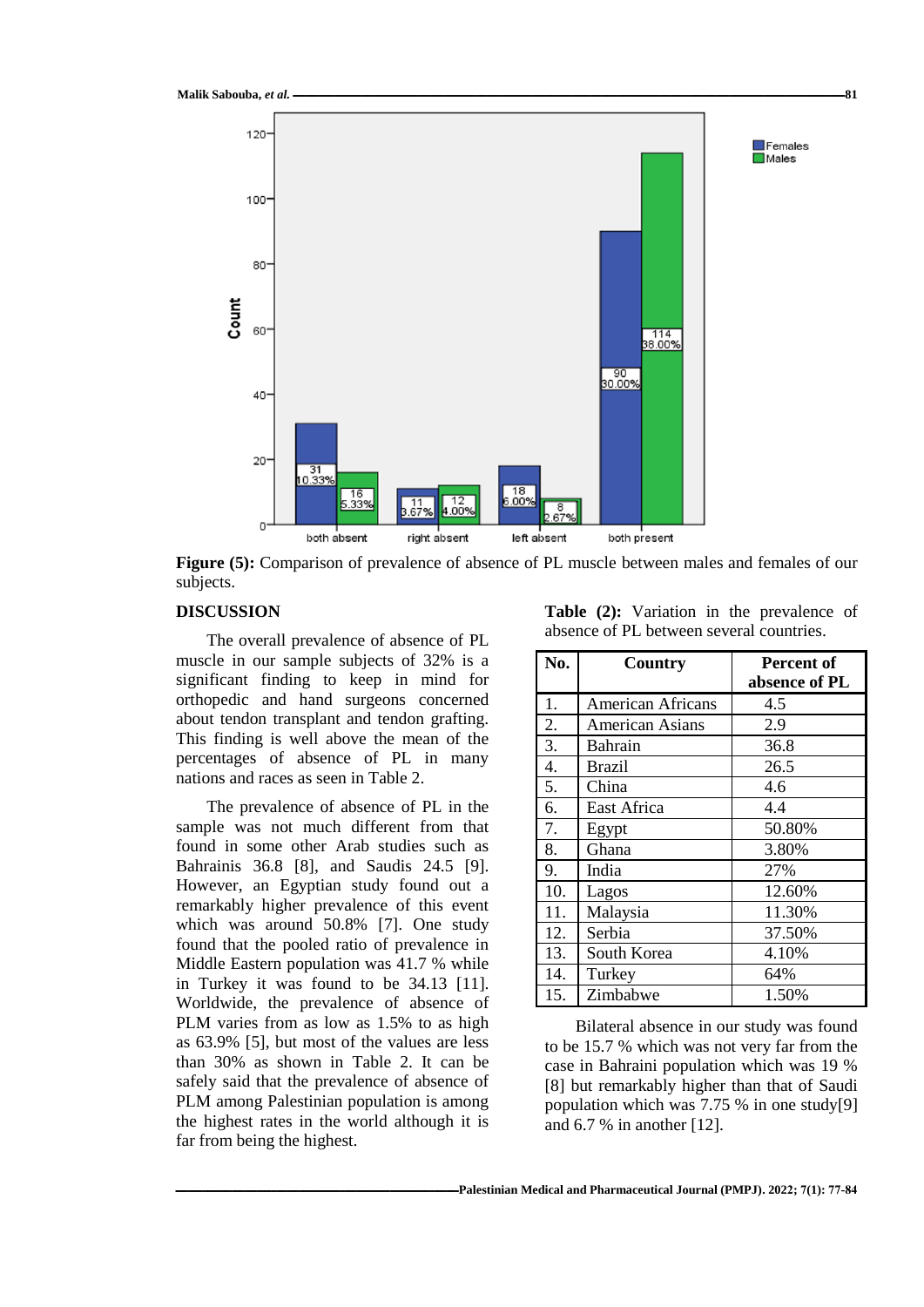

**Figure (5):** Comparison of prevalence of absence of PL muscle between males and females of our subjects.

#### **DISCUSSION**

The overall prevalence of absence of PL muscle in our sample subjects of 32% is a significant finding to keep in mind for orthopedic and hand surgeons concerned about tendon transplant and tendon grafting. This finding is well above the mean of the percentages of absence of PL in many nations and races as seen in Table 2.

The prevalence of absence of PL in the sample was not much different from that found in some other Arab studies such as Bahrainis 36.8 [8], and Saudis 24.5 [9]. However, an Egyptian study found out a remarkably higher prevalence of this event which was around 50.8% [7]. One study found that the pooled ratio of prevalence in Middle Eastern population was 41.7 % while in Turkey it was found to be 34.13 [11]. Worldwide, the prevalence of absence of PLM varies from as low as 1.5% to as high as 63.9% [5], but most of the values are less than 30% as shown in Table 2. It can be safely said that the prevalence of absence of PLM among Palestinian population is among the highest rates in the world although it is far from being the highest.

**Table (2):** Variation in the prevalence of absence of PL between several countries.

| No. | Country                | Percent of    |  |
|-----|------------------------|---------------|--|
|     |                        | absence of PL |  |
| 1.  | American Africans      | 4.5           |  |
| 2.  | <b>American Asians</b> | 2.9           |  |
| 3.  | Bahrain                | 36.8          |  |
| 4.  | <b>Brazil</b>          | 26.5          |  |
| 5.  | China                  | 4.6           |  |
| 6.  | East Africa            | 4.4           |  |
| 7.  | Egypt                  | 50.80%        |  |
| 8.  | Ghana                  | 3.80%         |  |
| 9.  | India                  | 27%           |  |
| 10. | Lagos                  | 12.60%        |  |
| 11. | Malaysia               | 11.30%        |  |
| 12. | Serbia                 | 37.50%        |  |
| 13. | South Korea            | 4.10%         |  |
| 14. | Turkey                 | 64%           |  |
| 15. | Zimbabwe               | 1.50%         |  |

Bilateral absence in our study was found to be 15.7 % which was not very far from the case in Bahraini population which was 19 % [8] but remarkably higher than that of Saudi population which was 7.75 % in one study[9] and 6.7 % in another [12].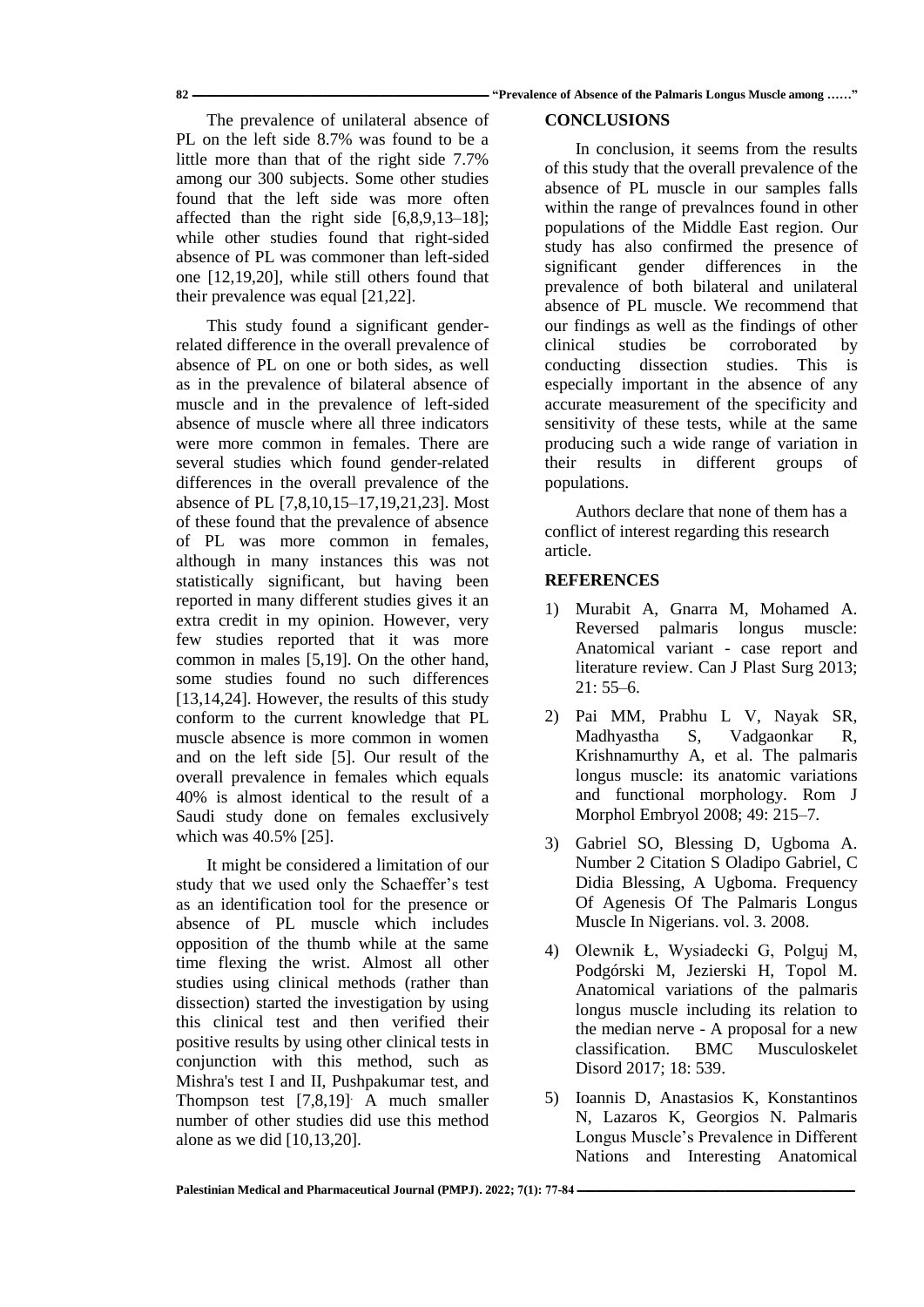**82 ـــــــــــــــــــــــــــــــــــــــــــــــــــــــــــــــــــــــــــــــــــــــــــــــــــــــــــــــــــــــــ" Prevalence of Absence of the Palmaris Longus Muscle among ……"**

The prevalence of unilateral absence of PL on the left side 8.7% was found to be a little more than that of the right side 7.7% among our 300 subjects. Some other studies found that the left side was more often affected than the right side [6,8,9,13–18]; while other studies found that right-sided absence of PL was commoner than left-sided one [12,19,20], while still others found that their prevalence was equal [21,22].

This study found a significant genderrelated difference in the overall prevalence of absence of PL on one or both sides, as well as in the prevalence of bilateral absence of muscle and in the prevalence of left-sided absence of muscle where all three indicators were more common in females. There are several studies which found gender-related differences in the overall prevalence of the absence of PL [7,8,10,15–17,19,21,23]. Most of these found that the prevalence of absence of PL was more common in females, although in many instances this was not statistically significant, but having been reported in many different studies gives it an extra credit in my opinion. However, very few studies reported that it was more common in males [5,19]. On the other hand, some studies found no such differences [13,14,24]. However, the results of this study conform to the current knowledge that PL muscle absence is more common in women and on the left side [5]. Our result of the overall prevalence in females which equals 40% is almost identical to the result of a Saudi study done on females exclusively which was 40.5% [25].

It might be considered a limitation of our study that we used only the Schaeffer's test as an identification tool for the presence or absence of PL muscle which includes opposition of the thumb while at the same time flexing the wrist. Almost all other studies using clinical methods (rather than dissection) started the investigation by using this clinical test and then verified their positive results by using other clinical tests in conjunction with this method, such as Mishra's test I and II, Pushpakumar test, and Thompson test [7,8,19]. A much smaller number of other studies did use this method alone as we did [10,13,20].

# **CONCLUSIONS**

In conclusion, it seems from the results of this study that the overall prevalence of the absence of PL muscle in our samples falls within the range of prevalnces found in other populations of the Middle East region. Our study has also confirmed the presence of significant gender differences in the prevalence of both bilateral and unilateral absence of PL muscle. We recommend that our findings as well as the findings of other clinical studies be corroborated by conducting dissection studies. This is especially important in the absence of any accurate measurement of the specificity and sensitivity of these tests, while at the same producing such a wide range of variation in their results in different groups of populations.

Authors declare that none of them has a conflict of interest regarding this research article.

# **REFERENCES**

- 1) Murabit A, Gnarra M, Mohamed A. Reversed palmaris longus muscle: Anatomical variant - case report and literature review. Can J Plast Surg 2013; 21: 55–6.
- 2) Pai MM, Prabhu L V, Nayak SR, Madhyastha S, Vadgaonkar R, Krishnamurthy A, et al. The palmaris longus muscle: its anatomic variations and functional morphology. Rom J Morphol Embryol 2008; 49: 215–7.
- 3) Gabriel SO, Blessing D, Ugboma A. Number 2 Citation S Oladipo Gabriel, C Didia Blessing, A Ugboma. Frequency Of Agenesis Of The Palmaris Longus Muscle In Nigerians. vol. 3. 2008.
- 4) Olewnik Ł, Wysiadecki G, Polguj M, Podgórski M, Jezierski H, Topol M. Anatomical variations of the palmaris longus muscle including its relation to the median nerve - A proposal for a new classification. BMC Musculoskelet Disord 2017; 18: 539.
- 5) Ioannis D, Anastasios K, Konstantinos N, Lazaros K, Georgios N. Palmaris Longus Muscle's Prevalence in Different Nations and Interesting Anatomical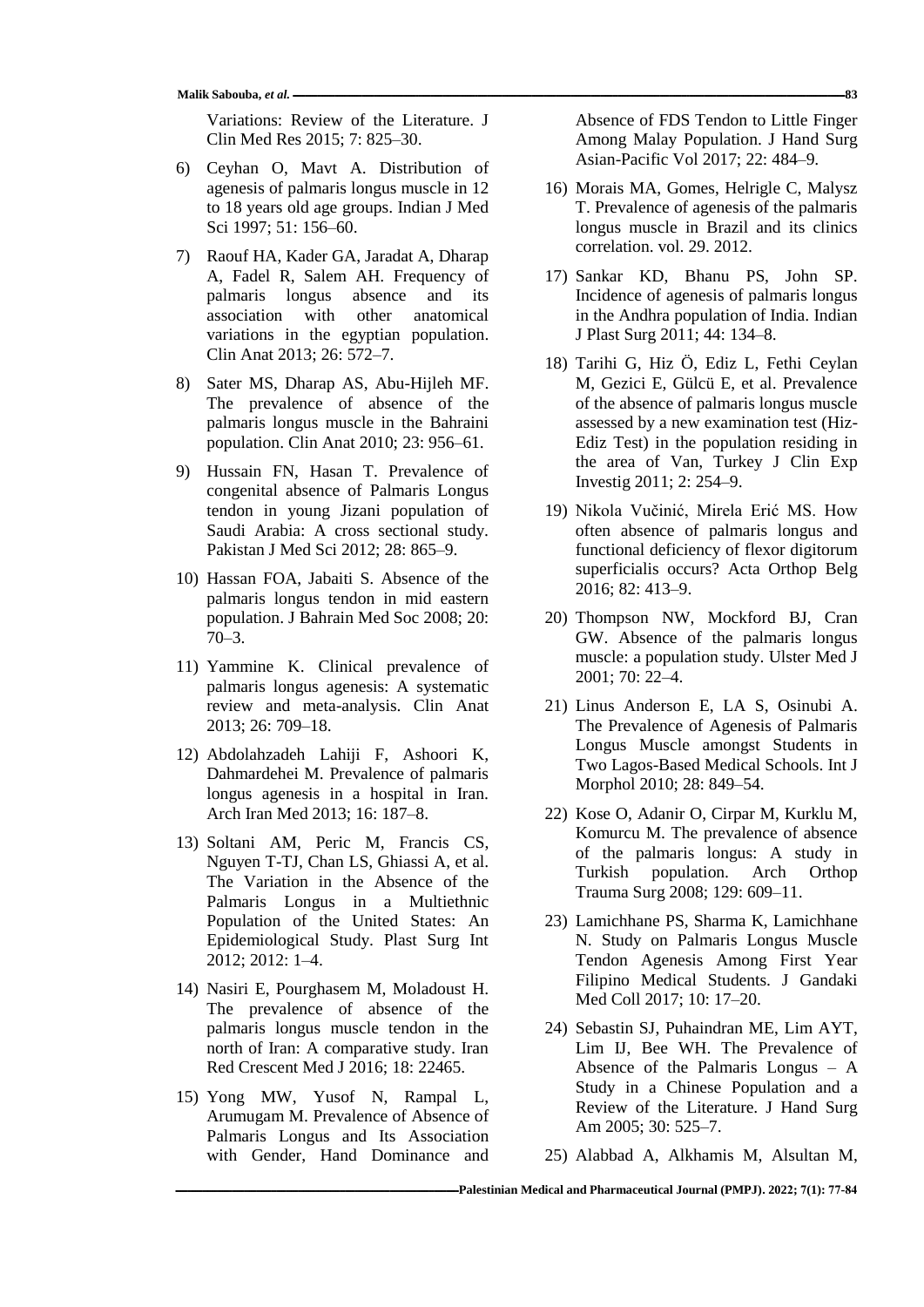Variations: Review of the Literature. J Clin Med Res 2015; 7: 825–30.

- 6) Ceyhan O, Mavt A. Distribution of agenesis of palmaris longus muscle in 12 to 18 years old age groups. Indian J Med Sci 1997; 51: 156–60.
- 7) Raouf HA, Kader GA, Jaradat A, Dharap A, Fadel R, Salem AH. Frequency of palmaris longus absence and its association with other anatomical variations in the egyptian population. Clin Anat 2013; 26: 572–7.
- 8) Sater MS, Dharap AS, Abu-Hijleh MF. The prevalence of absence of the palmaris longus muscle in the Bahraini population. Clin Anat 2010; 23: 956–61.
- 9) Hussain FN, Hasan T. Prevalence of congenital absence of Palmaris Longus tendon in young Jizani population of Saudi Arabia: A cross sectional study. Pakistan J Med Sci 2012; 28: 865–9.
- 10) Hassan FOA, Jabaiti S. Absence of the palmaris longus tendon in mid eastern population. J Bahrain Med Soc 2008; 20: 70–3.
- 11) Yammine K. Clinical prevalence of palmaris longus agenesis: A systematic review and meta-analysis. Clin Anat 2013; 26: 709–18.
- 12) Abdolahzadeh Lahiji F, Ashoori K, Dahmardehei M. Prevalence of palmaris longus agenesis in a hospital in Iran. Arch Iran Med 2013; 16: 187–8.
- 13) Soltani AM, Peric M, Francis CS, Nguyen T-TJ, Chan LS, Ghiassi A, et al. The Variation in the Absence of the Palmaris Longus in a Multiethnic Population of the United States: An Epidemiological Study. Plast Surg Int 2012; 2012: 1–4.
- 14) Nasiri E, Pourghasem M, Moladoust H. The prevalence of absence of the palmaris longus muscle tendon in the north of Iran: A comparative study. Iran Red Crescent Med J 2016; 18: 22465.
- 15) Yong MW, Yusof N, Rampal L, Arumugam M. Prevalence of Absence of Palmaris Longus and Its Association with Gender, Hand Dominance and

Absence of FDS Tendon to Little Finger Among Malay Population. J Hand Surg Asian-Pacific Vol 2017; 22: 484–9.

- 16) Morais MA, Gomes, Helrigle C, Malysz T. Prevalence of agenesis of the palmaris longus muscle in Brazil and its clinics correlation. vol. 29. 2012.
- 17) Sankar KD, Bhanu PS, John SP. Incidence of agenesis of palmaris longus in the Andhra population of India. Indian J Plast Surg 2011; 44: 134–8.
- 18) Tarihi G, Hiz Ö, Ediz L, Fethi Ceylan M, Gezici E, Gülcü E, et al. Prevalence of the absence of palmaris longus muscle assessed by a new examination test (Hiz-Ediz Test) in the population residing in the area of Van, Turkey J Clin Exp Investig 2011; 2: 254–9.
- 19) Nikola Vučinić, Mirela Erić MS. How often absence of palmaris longus and functional deficiency of flexor digitorum superficialis occurs? Acta Orthop Belg 2016; 82: 413–9.
- 20) Thompson NW, Mockford BJ, Cran GW. Absence of the palmaris longus muscle: a population study. Ulster Med J 2001; 70: 22–4.
- 21) Linus Anderson E, LA S, Osinubi A. The Prevalence of Agenesis of Palmaris Longus Muscle amongst Students in Two Lagos-Based Medical Schools. Int J Morphol 2010; 28: 849–54.
- 22) Kose O, Adanir O, Cirpar M, Kurklu M, Komurcu M. The prevalence of absence of the palmaris longus: A study in Turkish population. Arch Orthop Trauma Surg 2008; 129: 609–11.
- 23) Lamichhane PS, Sharma K, Lamichhane N. Study on Palmaris Longus Muscle Tendon Agenesis Among First Year Filipino Medical Students. J Gandaki Med Coll 2017; 10: 17–20.
- 24) Sebastin SJ, Puhaindran ME, Lim AYT, Lim IJ, Bee WH. The Prevalence of Absence of the Palmaris Longus – A Study in a Chinese Population and a Review of the Literature. J Hand Surg Am 2005; 30: 525–7.
- 25) Alabbad A, Alkhamis M, Alsultan M,

**[ــ](https://journals.najah.edu/journal/pmpj/browse-by-issue/)ـــــــــــــــــــــــــــــــــــــــــــــــــــــــــــــــــــــــــــــــــــــــــــــــــــــــــــــــ[ــPalestinian Medical and Pharmaceutical Journal \(PMPJ\).](https://journals.najah.edu/journal/pmpj/browse-by-issue/) 2022; 7(1): 77-84**